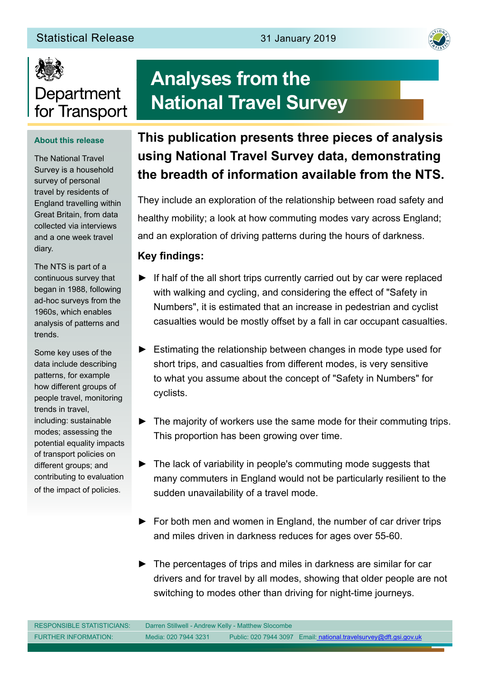#### Statistical Release 31 January 2019





#### **About this release**

The National Travel Survey is a household survey of personal travel by residents of England travelling within Great Britain, from data collected via interviews and a one week travel diary.

The NTS is part of a continuous survey that began in 1988, following ad-hoc surveys from the 1960s, which enables analysis of patterns and trends.

Some key uses of the data include describing patterns, for example how different groups of people travel, monitoring trends in travel, including: sustainable modes; assessing the potential equality impacts of transport policies on different groups; and contributing to evaluation of the impact of policies.

# **Analyses from the National Travel Survey**

# **This publication presents three pieces of analysis using National Travel Survey data, demonstrating the breadth of information available from the NTS.**

They include an exploration of the relationship between road safety and healthy mobility; a look at how commuting modes vary across England; and an exploration of driving patterns during the hours of darkness.

#### **Key findings:**

- ► If half of the all short trips currently carried out by car were replaced with walking and cycling, and considering the effect of "Safety in Numbers", it is estimated that an increase in pedestrian and cyclist casualties would be mostly offset by a fall in car occupant casualties.
- ► Estimating the relationship between changes in mode type used for short trips, and casualties from different modes, is very sensitive to what you assume about the concept of "Safety in Numbers" for cyclists.
- ► The majority of workers use the same mode for their commuting trips. This proportion has been growing over time.
- ► The lack of variability in people's commuting mode suggests that many commuters in England would not be particularly resilient to the sudden unavailability of a travel mode.
- ► For both men and women in England, the number of car driver trips and miles driven in darkness reduces for ages over 55-60.
- ► The percentages of trips and miles in darkness are similar for car drivers and for travel by all modes, showing that older people are not switching to modes other than driving for night-time journeys.

| <b>RESPONSIBLE STATISTICIANS:</b> | Darren Stillwell - Andrew Kelly - Matthew Slocombe |                                                                   |
|-----------------------------------|----------------------------------------------------|-------------------------------------------------------------------|
| <b>FURTHER INFORMATION:</b>       | Media: 020 7944 3231                               | Public: 020 7944 3097 Email: national.travelsurvey@dft.gsi.gov.uk |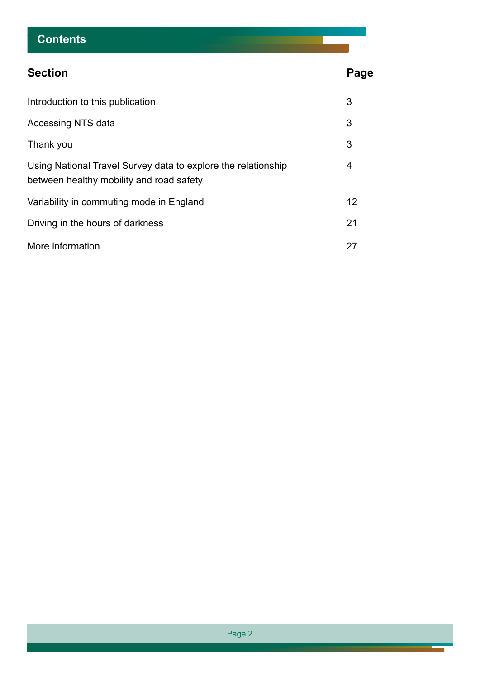# **Contents**

| <b>Section</b>                                                                                            | Page |
|-----------------------------------------------------------------------------------------------------------|------|
| Introduction to this publication                                                                          | 3    |
| Accessing NTS data                                                                                        | 3    |
| Thank you                                                                                                 | 3    |
| Using National Travel Survey data to explore the relationship<br>between healthy mobility and road safety | 4    |
| Variability in commuting mode in England                                                                  | 12   |
| Driving in the hours of darkness                                                                          | 21   |
| More information                                                                                          | 27   |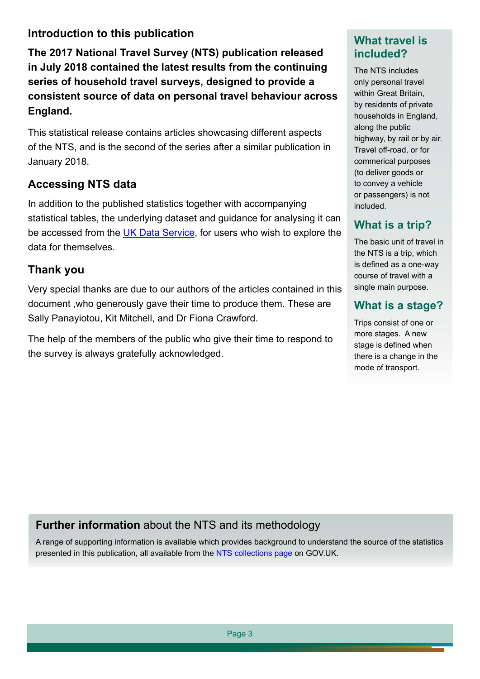## **Introduction to this publication**

**The 2017 National Travel Survey (NTS) publication released in July 2018 contained the latest results from the continuing series of household travel surveys, designed to provide a consistent source of data on personal travel behaviour across England.**

This statistical release contains articles showcasing different aspects of the NTS, and is the second of the series after a similar publication in January 2018.

## **Accessing NTS data**

In addition to the published statistics together with accompanying statistical tables, the underlying dataset and guidance for analysing it can be accessed from the [UK Data Service](http://discover.ukdataservice.ac.uk/series/?sn=2000037), for users who wish to explore the data for themselves.

#### **Thank you**

Very special thanks are due to our authors of the articles contained in this document ,who generously gave their time to produce them. These are Sally Panayiotou, Kit Mitchell, and Dr Fiona Crawford.

The help of the members of the public who give their time to respond to the survey is always gratefully acknowledged.

## **What travel is included?**

The NTS includes only personal travel within Great Britain, by residents of private households in England, along the public highway, by rail or by air. Travel off-road, or for commerical purposes (to deliver goods or to convey a vehicle or passengers) is not included.

# **What is a trip?**

The basic unit of travel in the NTS is a trip, which is defined as a one-way course of travel with a single main purpose.

## **What is a stage?**

Trips consist of one or more stages. A new stage is defined when there is a change in the mode of transport.

# **Further information** about the NTS and its methodology

A range of supporting information is available which provides background to understand the source of the statistics presented in this publication, all available from the [NTS collections page o](https://www.gov.uk/government/collections/national-travel-survey-statistics)n GOV.UK.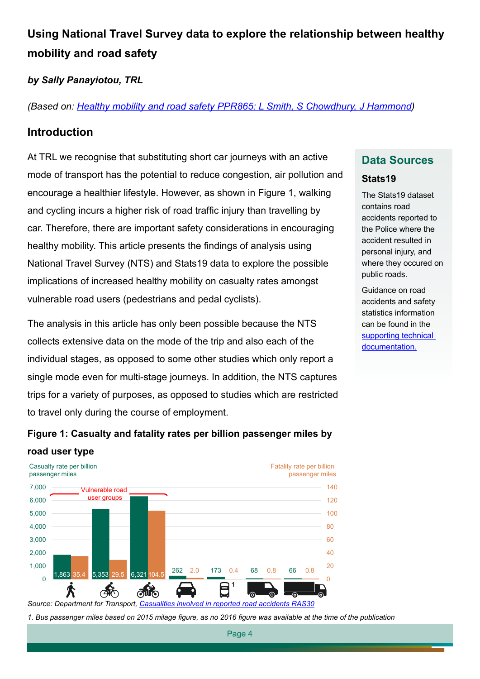# **Using National Travel Survey data to explore the relationship between healthy mobility and road safety**

#### *by Sally Panayiotou, TRL*

*(Based on: [Healthy mobility and road safety PPR865: L Smith, S Chowdhury, J Hammond](https://trl.co.uk/reports/healthy-mobility-and-road-safety))*

#### **Introduction**

At TRL we recognise that substituting short car journeys with an active mode of transport has the potential to reduce congestion, air pollution and encourage a healthier lifestyle. However, as shown in Figure 1, walking and cycling incurs a higher risk of road traffic injury than travelling by car. Therefore, there are important safety considerations in encouraging healthy mobility. This article presents the findings of analysis using National Travel Survey (NTS) and Stats19 data to explore the possible implications of increased healthy mobility on casualty rates amongst vulnerable road users (pedestrians and pedal cyclists).

The analysis in this article has only been possible because the NTS collects extensive data on the mode of the trip and also each of the individual stages, as opposed to some other studies which only report a single mode even for multi-stage journeys. In addition, the NTS captures trips for a variety of purposes, as opposed to studies which are restricted to travel only during the course of employment.

# **Data Sources**

#### **Stats19**

The Stats19 dataset contains road accidents reported to the Police where the accident resulted in personal injury, and where they occured on public roads.

Guidance on road accidents and safety statistics information can be found in the [supporting technical](https://www.gov.uk/government/publications/road-accidents-and-safety-statistics-guidance)  [documentation.](https://www.gov.uk/government/publications/road-accidents-and-safety-statistics-guidance)





*Source: Department for Transport, [Casualities involved in reported road accidents RAS30](https://www.gov.uk/government/statistical-data-sets/ras30-reported-casualties-in-road-accidents)*

*1. Bus passenger miles based on 2015 milage figure, as no 2016 figure was available at the time of the publication*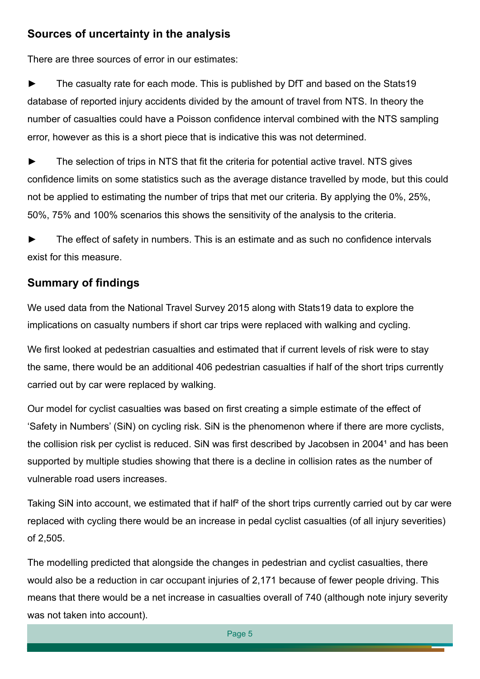#### **Sources of uncertainty in the analysis**

There are three sources of error in our estimates:

► The casualty rate for each mode. This is published by DfT and based on the Stats19 database of reported injury accidents divided by the amount of travel from NTS. In theory the number of casualties could have a Poisson confidence interval combined with the NTS sampling error, however as this is a short piece that is indicative this was not determined.

The selection of trips in NTS that fit the criteria for potential active travel. NTS gives confidence limits on some statistics such as the average distance travelled by mode, but this could not be applied to estimating the number of trips that met our criteria. By applying the 0%, 25%, 50%, 75% and 100% scenarios this shows the sensitivity of the analysis to the criteria.

The effect of safety in numbers. This is an estimate and as such no confidence intervals exist for this measure.

# **Summary of findings**

We used data from the National Travel Survey 2015 along with Stats19 data to explore the implications on casualty numbers if short car trips were replaced with walking and cycling.

We first looked at pedestrian casualties and estimated that if current levels of risk were to stay the same, there would be an additional 406 pedestrian casualties if half of the short trips currently carried out by car were replaced by walking.

Our model for cyclist casualties was based on first creating a simple estimate of the effect of 'Safety in Numbers' (SiN) on cycling risk. SiN is the phenomenon where if there are more cyclists, the collision risk per cyclist is reduced. SiN was first described by Jacobsen in 2004<sup>1</sup> and has been supported by multiple studies showing that there is a decline in collision rates as the number of vulnerable road users increases.

Taking SiN into account, we estimated that if half<sup>2</sup> of the short trips currently carried out by car were replaced with cycling there would be an increase in pedal cyclist casualties (of all injury severities) of 2,505.

The modelling predicted that alongside the changes in pedestrian and cyclist casualties, there would also be a reduction in car occupant injuries of 2,171 because of fewer people driving. This means that there would be a net increase in casualties overall of 740 (although note injury severity was not taken into account).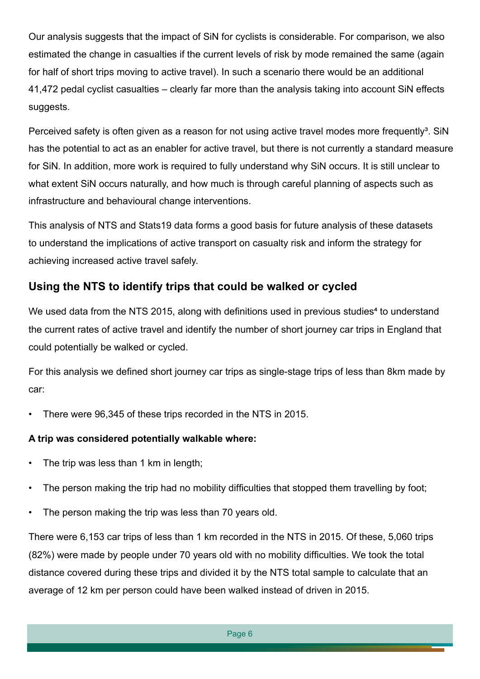Our analysis suggests that the impact of SiN for cyclists is considerable. For comparison, we also estimated the change in casualties if the current levels of risk by mode remained the same (again for half of short trips moving to active travel). In such a scenario there would be an additional 41,472 pedal cyclist casualties – clearly far more than the analysis taking into account SiN effects suggests.

Perceived safety is often given as a reason for not using active travel modes more frequently<sup>3</sup>. SiN has the potential to act as an enabler for active travel, but there is not currently a standard measure for SiN. In addition, more work is required to fully understand why SiN occurs. It is still unclear to what extent SiN occurs naturally, and how much is through careful planning of aspects such as infrastructure and behavioural change interventions.

This analysis of NTS and Stats19 data forms a good basis for future analysis of these datasets to understand the implications of active transport on casualty risk and inform the strategy for achieving increased active travel safely.

## **Using the NTS to identify trips that could be walked or cycled**

We used data from the NTS 2015, along with definitions used in previous studies<sup>4</sup> to understand the current rates of active travel and identify the number of short journey car trips in England that could potentially be walked or cycled.

For this analysis we defined short journey car trips as single-stage trips of less than 8km made by car:

• There were 96,345 of these trips recorded in the NTS in 2015.

#### **A trip was considered potentially walkable where:**

- The trip was less than 1 km in length;
- The person making the trip had no mobility difficulties that stopped them travelling by foot;
- The person making the trip was less than 70 years old.

There were 6,153 car trips of less than 1 km recorded in the NTS in 2015. Of these, 5,060 trips (82%) were made by people under 70 years old with no mobility difficulties. We took the total distance covered during these trips and divided it by the NTS total sample to calculate that an average of 12 km per person could have been walked instead of driven in 2015.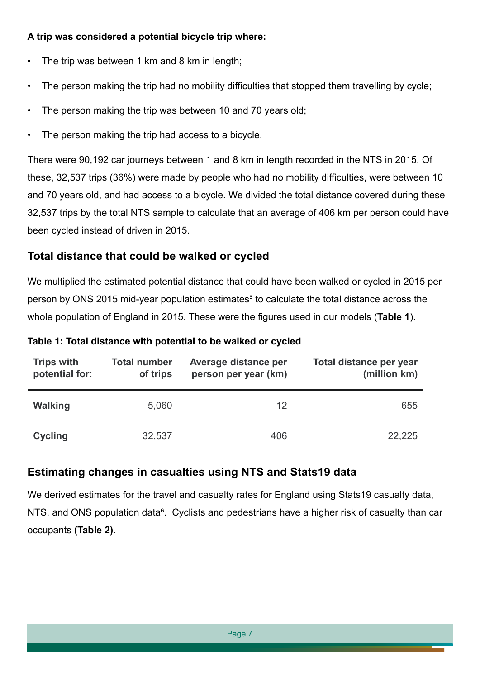#### **A trip was considered a potential bicycle trip where:**

- The trip was between 1 km and 8 km in length;
- The person making the trip had no mobility difficulties that stopped them travelling by cycle;
- The person making the trip was between 10 and 70 years old;
- The person making the trip had access to a bicycle.

There were 90,192 car journeys between 1 and 8 km in length recorded in the NTS in 2015. Of these, 32,537 trips (36%) were made by people who had no mobility difficulties, were between 10 and 70 years old, and had access to a bicycle. We divided the total distance covered during these 32,537 trips by the total NTS sample to calculate that an average of 406 km per person could have been cycled instead of driven in 2015.

## **Total distance that could be walked or cycled**

We multiplied the estimated potential distance that could have been walked or cycled in 2015 per person by ONS 2015 mid-year population estimates<sup>5</sup> to calculate the total distance across the whole population of England in 2015. These were the figures used in our models (**Table 1**).

#### **Table 1: Total distance with potential to be walked or cycled**

| <b>Trips with</b><br>potential for: | <b>Total number</b><br>of trips | Average distance per<br>person per year (km) | Total distance per year<br>(million km) |
|-------------------------------------|---------------------------------|----------------------------------------------|-----------------------------------------|
| <b>Walking</b>                      | 5,060                           | 12                                           | 655                                     |
| <b>Cycling</b>                      | 32,537                          | 406                                          | 22,225                                  |

## **Estimating changes in casualties using NTS and Stats19 data**

We derived estimates for the travel and casualty rates for England using Stats19 casualty data, NTS, and ONS population data<sup>6</sup>. Cyclists and pedestrians have a higher risk of casualty than car occupants **(Table 2)**.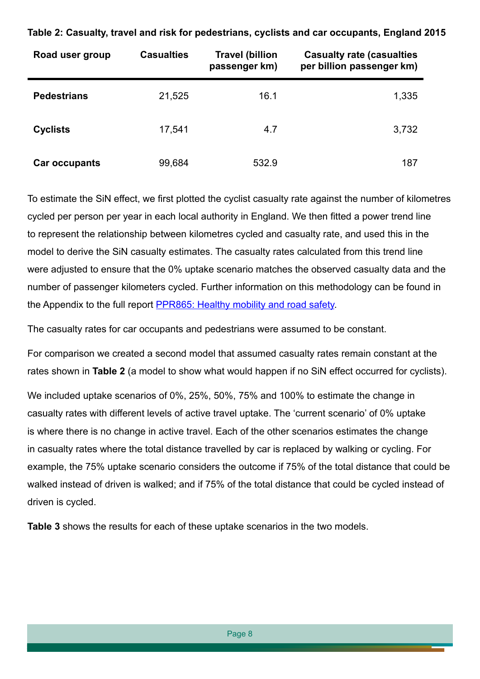| Road user group    | <b>Casualties</b> | <b>Travel (billion</b><br>passenger km) | <b>Casualty rate (casualties</b><br>per billion passenger km) |
|--------------------|-------------------|-----------------------------------------|---------------------------------------------------------------|
| <b>Pedestrians</b> | 21,525            | 16.1                                    | 1,335                                                         |
| <b>Cyclists</b>    | 17,541            | 4.7                                     | 3,732                                                         |
| Car occupants      | 99,684            | 532.9                                   | 187                                                           |

**Table 2: Casualty, travel and risk for pedestrians, cyclists and car occupants, England 2015**

To estimate the SiN effect, we first plotted the cyclist casualty rate against the number of kilometres cycled per person per year in each local authority in England. We then fitted a power trend line to represent the relationship between kilometres cycled and casualty rate, and used this in the model to derive the SiN casualty estimates. The casualty rates calculated from this trend line were adjusted to ensure that the 0% uptake scenario matches the observed casualty data and the number of passenger kilometers cycled. Further information on this methodology can be found in the Appendix to the full report [PPR865: Healthy mobility and road safety.](https://trl.co.uk/reports/healthy-mobility-and-road-safety)

The casualty rates for car occupants and pedestrians were assumed to be constant.

For comparison we created a second model that assumed casualty rates remain constant at the rates shown in **Table 2** (a model to show what would happen if no SiN effect occurred for cyclists).

We included uptake scenarios of 0%, 25%, 50%, 75% and 100% to estimate the change in casualty rates with different levels of active travel uptake. The 'current scenario' of 0% uptake is where there is no change in active travel. Each of the other scenarios estimates the change in casualty rates where the total distance travelled by car is replaced by walking or cycling. For example, the 75% uptake scenario considers the outcome if 75% of the total distance that could be walked instead of driven is walked; and if 75% of the total distance that could be cycled instead of driven is cycled.

**Table 3** shows the results for each of these uptake scenarios in the two models.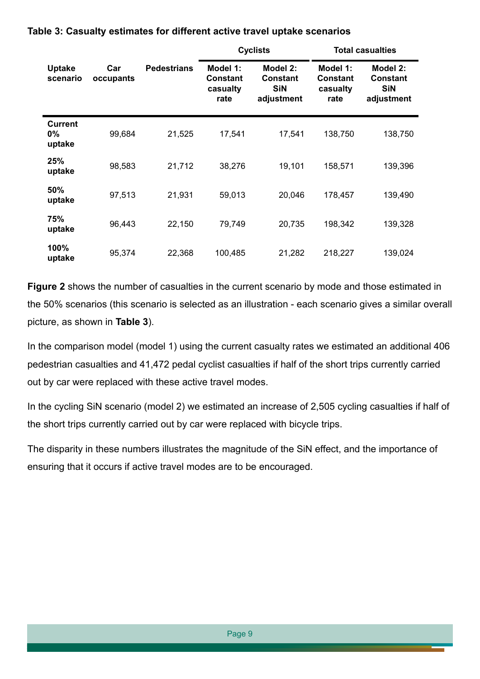|                                   |                  |                    |                                                 | <b>Cyclists</b>                                         |                                                 | <b>Total casualties</b>                                 |
|-----------------------------------|------------------|--------------------|-------------------------------------------------|---------------------------------------------------------|-------------------------------------------------|---------------------------------------------------------|
| <b>Uptake</b><br>scenario         | Car<br>occupants | <b>Pedestrians</b> | Model 1:<br><b>Constant</b><br>casualty<br>rate | Model 2:<br><b>Constant</b><br><b>SiN</b><br>adjustment | Model 1:<br><b>Constant</b><br>casualty<br>rate | Model 2:<br><b>Constant</b><br><b>SiN</b><br>adjustment |
| <b>Current</b><br>$0\%$<br>uptake | 99,684           | 21,525             | 17,541                                          | 17,541                                                  | 138,750                                         | 138,750                                                 |
| 25%<br>uptake                     | 98,583           | 21,712             | 38,276                                          | 19,101                                                  | 158,571                                         | 139,396                                                 |
| 50%<br>uptake                     | 97,513           | 21,931             | 59,013                                          | 20,046                                                  | 178,457                                         | 139,490                                                 |
| 75%<br>uptake                     | 96,443           | 22,150             | 79,749                                          | 20,735                                                  | 198,342                                         | 139,328                                                 |
| 100%<br>uptake                    | 95,374           | 22,368             | 100,485                                         | 21,282                                                  | 218,227                                         | 139,024                                                 |

#### **Table 3: Casualty estimates for different active travel uptake scenarios**

**Figure 2** shows the number of casualties in the current scenario by mode and those estimated in the 50% scenarios (this scenario is selected as an illustration - each scenario gives a similar overall picture, as shown in **Table 3**).

In the comparison model (model 1) using the current casualty rates we estimated an additional 406 pedestrian casualties and 41,472 pedal cyclist casualties if half of the short trips currently carried out by car were replaced with these active travel modes.

In the cycling SiN scenario (model 2) we estimated an increase of 2,505 cycling casualties if half of the short trips currently carried out by car were replaced with bicycle trips.

The disparity in these numbers illustrates the magnitude of the SiN effect, and the importance of ensuring that it occurs if active travel modes are to be encouraged.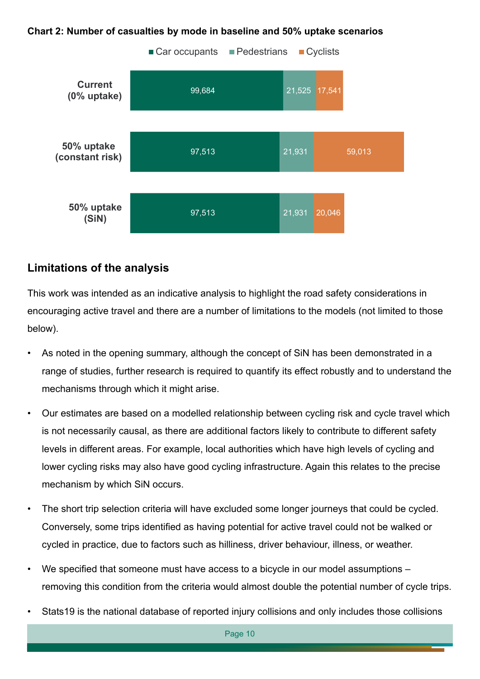#### **Chart 2: Number of casualties by mode in baseline and 50% uptake scenarios**



#### **Limitations of the analysis**

This work was intended as an indicative analysis to highlight the road safety considerations in encouraging active travel and there are a number of limitations to the models (not limited to those below).

- As noted in the opening summary, although the concept of SiN has been demonstrated in a range of studies, further research is required to quantify its effect robustly and to understand the mechanisms through which it might arise.
- Our estimates are based on a modelled relationship between cycling risk and cycle travel which is not necessarily causal, as there are additional factors likely to contribute to different safety levels in different areas. For example, local authorities which have high levels of cycling and lower cycling risks may also have good cycling infrastructure. Again this relates to the precise mechanism by which SiN occurs.
- The short trip selection criteria will have excluded some longer journeys that could be cycled. Conversely, some trips identified as having potential for active travel could not be walked or cycled in practice, due to factors such as hilliness, driver behaviour, illness, or weather.
- We specified that someone must have access to a bicycle in our model assumptions removing this condition from the criteria would almost double the potential number of cycle trips.
- Stats19 is the national database of reported injury collisions and only includes those collisions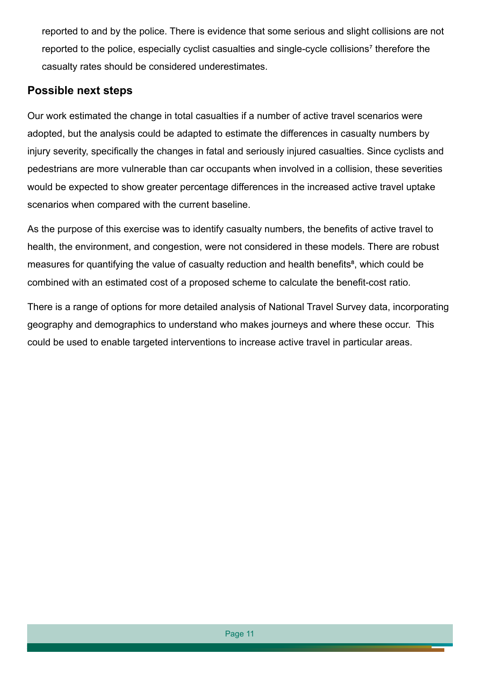reported to and by the police. There is evidence that some serious and slight collisions are not reported to the police, especially cyclist casualties and single-cycle collisions<sup>7</sup> therefore the casualty rates should be considered underestimates.

#### **Possible next steps**

Our work estimated the change in total casualties if a number of active travel scenarios were adopted, but the analysis could be adapted to estimate the differences in casualty numbers by injury severity, specifically the changes in fatal and seriously injured casualties. Since cyclists and pedestrians are more vulnerable than car occupants when involved in a collision, these severities would be expected to show greater percentage differences in the increased active travel uptake scenarios when compared with the current baseline.

As the purpose of this exercise was to identify casualty numbers, the benefits of active travel to health, the environment, and congestion, were not considered in these models. There are robust measures for quantifying the value of casualty reduction and health benefits<sup>8</sup>, which could be combined with an estimated cost of a proposed scheme to calculate the benefit-cost ratio.

There is a range of options for more detailed analysis of National Travel Survey data, incorporating geography and demographics to understand who makes journeys and where these occur. This could be used to enable targeted interventions to increase active travel in particular areas.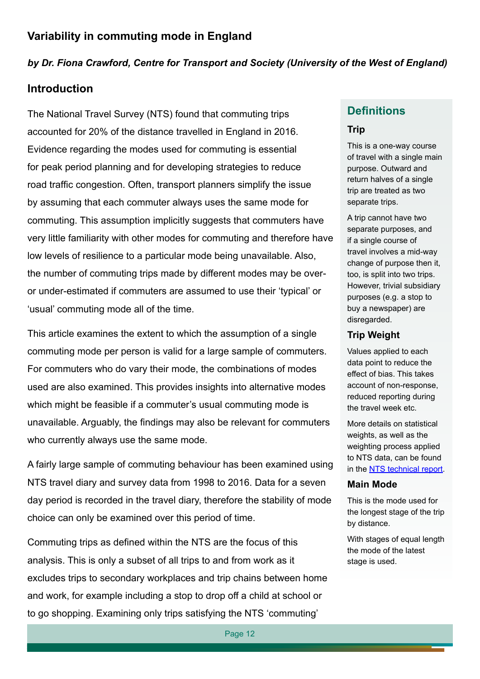#### *by Dr. Fiona Crawford, Centre for Transport and Society (University of the West of England)*

#### **Introduction**

The National Travel Survey (NTS) found that commuting trips accounted for 20% of the distance travelled in England in 2016. Evidence regarding the modes used for commuting is essential for peak period planning and for developing strategies to reduce road traffic congestion. Often, transport planners simplify the issue by assuming that each commuter always uses the same mode for commuting. This assumption implicitly suggests that commuters have very little familiarity with other modes for commuting and therefore have low levels of resilience to a particular mode being unavailable. Also, the number of commuting trips made by different modes may be overor under-estimated if commuters are assumed to use their 'typical' or 'usual' commuting mode all of the time.

This article examines the extent to which the assumption of a single commuting mode per person is valid for a large sample of commuters. For commuters who do vary their mode, the combinations of modes used are also examined. This provides insights into alternative modes which might be feasible if a commuter's usual commuting mode is unavailable. Arguably, the findings may also be relevant for commuters who currently always use the same mode.

A fairly large sample of commuting behaviour has been examined using NTS travel diary and survey data from 1998 to 2016. Data for a seven day period is recorded in the travel diary, therefore the stability of mode choice can only be examined over this period of time.

Commuting trips as defined within the NTS are the focus of this analysis. This is only a subset of all trips to and from work as it excludes trips to secondary workplaces and trip chains between home and work, for example including a stop to drop off a child at school or to go shopping. Examining only trips satisfying the NTS 'commuting'

#### **Definitions**

#### **Trip**

This is a one-way course of travel with a single main purpose. Outward and return halves of a single trip are treated as two separate trips.

A trip cannot have two separate purposes, and if a single course of travel involves a mid-way change of purpose then it, too, is split into two trips. However, trivial subsidiary purposes (e.g. a stop to buy a newspaper) are disregarded.

#### **Trip Weight**

Values applied to each data point to reduce the effect of bias. This takes account of non-response, reduced reporting during the travel week etc.

More details on statistical weights, as well as the weighting process applied to NTS data, can be found in the [NTS technical report](https://www.gov.uk/government/uploads/system/uploads/attachment_data/file/729525/nts-technical-report-2017.pdf).

#### **Main Mode**

This is the mode used for the longest stage of the trip by distance.

With stages of equal length the mode of the latest stage is used.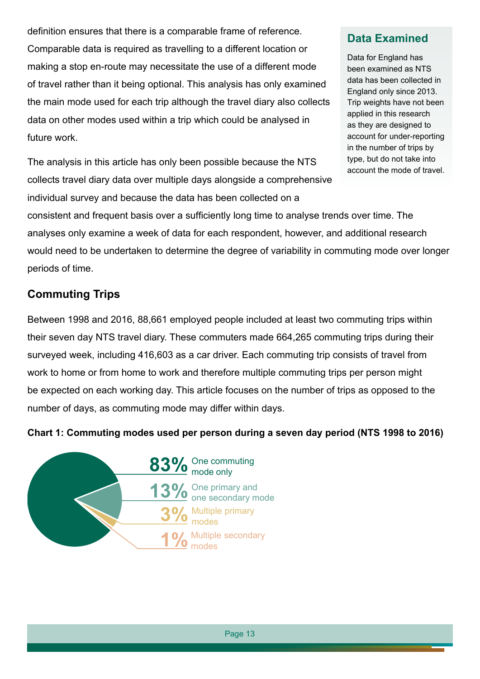definition ensures that there is a comparable frame of reference. Comparable data is required as travelling to a different location or making a stop en-route may necessitate the use of a different mode of travel rather than it being optional. This analysis has only examined the main mode used for each trip although the travel diary also collects data on other modes used within a trip which could be analysed in future work.

The analysis in this article has only been possible because the NTS collects travel diary data over multiple days alongside a comprehensive individual survey and because the data has been collected on a

## **Data Examined**

Data for England has been examined as NTS data has been collected in England only since 2013. Trip weights have not been applied in this research as they are designed to account for under-reporting in the number of trips by type, but do not take into account the mode of travel.

consistent and frequent basis over a sufficiently long time to analyse trends over time. The analyses only examine a week of data for each respondent, however, and additional research would need to be undertaken to determine the degree of variability in commuting mode over longer periods of time.

## **Commuting Trips**

Between 1998 and 2016, 88,661 employed people included at least two commuting trips within their seven day NTS travel diary. These commuters made 664,265 commuting trips during their surveyed week, including 416,603 as a car driver. Each commuting trip consists of travel from work to home or from home to work and therefore multiple commuting trips per person might be expected on each working day. This article focuses on the number of trips as opposed to the number of days, as commuting mode may differ within days.

#### **Chart 1: Commuting modes used per person during a seven day period (NTS 1998 to 2016)**

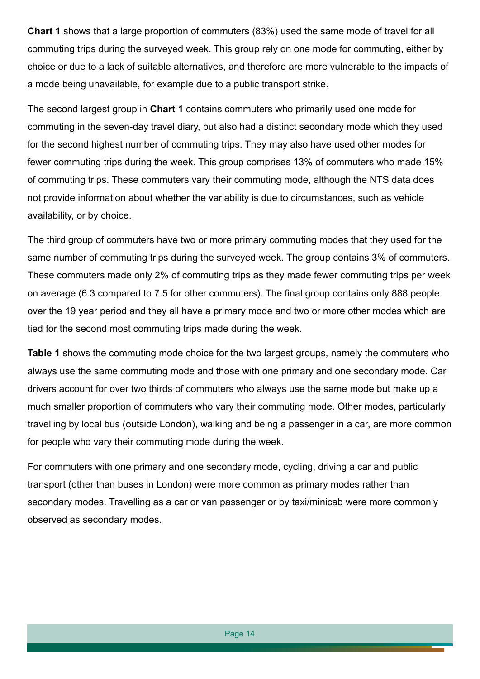**Chart 1** shows that a large proportion of commuters (83%) used the same mode of travel for all commuting trips during the surveyed week. This group rely on one mode for commuting, either by choice or due to a lack of suitable alternatives, and therefore are more vulnerable to the impacts of a mode being unavailable, for example due to a public transport strike.

The second largest group in **Chart 1** contains commuters who primarily used one mode for commuting in the seven-day travel diary, but also had a distinct secondary mode which they used for the second highest number of commuting trips. They may also have used other modes for fewer commuting trips during the week. This group comprises 13% of commuters who made 15% of commuting trips. These commuters vary their commuting mode, although the NTS data does not provide information about whether the variability is due to circumstances, such as vehicle availability, or by choice.

The third group of commuters have two or more primary commuting modes that they used for the same number of commuting trips during the surveyed week. The group contains 3% of commuters. These commuters made only 2% of commuting trips as they made fewer commuting trips per week on average (6.3 compared to 7.5 for other commuters). The final group contains only 888 people over the 19 year period and they all have a primary mode and two or more other modes which are tied for the second most commuting trips made during the week.

**Table 1** shows the commuting mode choice for the two largest groups, namely the commuters who always use the same commuting mode and those with one primary and one secondary mode. Car drivers account for over two thirds of commuters who always use the same mode but make up a much smaller proportion of commuters who vary their commuting mode. Other modes, particularly travelling by local bus (outside London), walking and being a passenger in a car, are more common for people who vary their commuting mode during the week.

For commuters with one primary and one secondary mode, cycling, driving a car and public transport (other than buses in London) were more common as primary modes rather than secondary modes. Travelling as a car or van passenger or by taxi/minicab were more commonly observed as secondary modes.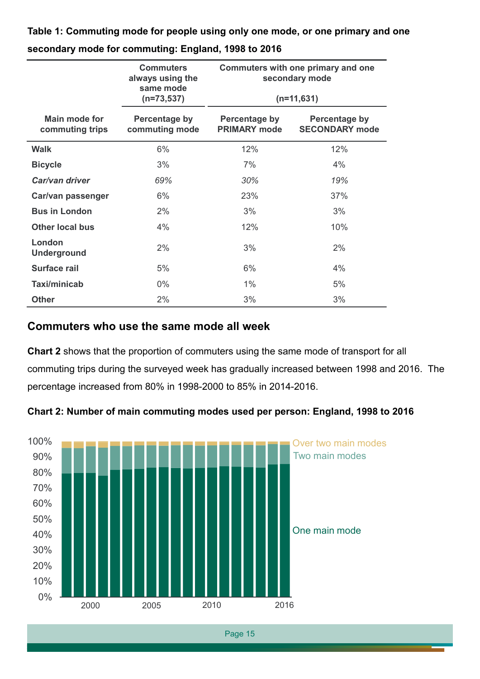**Table 1: Commuting mode for people using only one mode, or one primary and one secondary mode for commuting: England, 1998 to 2016**

|                                         | <b>Commuters</b><br>always using the<br>same mode<br>$(n=73, 537)$ | Commuters with one primary and one<br>secondary mode<br>$(n=11,631)$ |                                               |
|-----------------------------------------|--------------------------------------------------------------------|----------------------------------------------------------------------|-----------------------------------------------|
| <b>Main mode for</b><br>commuting trips | Percentage by<br>commuting mode                                    | <b>Percentage by</b><br><b>PRIMARY mode</b>                          | <b>Percentage by</b><br><b>SECONDARY mode</b> |
| <b>Walk</b>                             | 6%                                                                 | 12%                                                                  | 12%                                           |
| <b>Bicycle</b>                          | 3%                                                                 | 7%                                                                   | 4%                                            |
| Car/van driver                          | 69%                                                                | 30%                                                                  | 19%                                           |
| Car/van passenger                       | 6%                                                                 | 23%                                                                  | 37%                                           |
| <b>Bus in London</b>                    | 2%                                                                 | 3%                                                                   | 3%                                            |
| <b>Other local bus</b>                  | 4%                                                                 | 12%                                                                  | 10%                                           |
| London<br><b>Underground</b>            | 2%                                                                 | 3%                                                                   | 2%                                            |
| <b>Surface rail</b>                     | 5%                                                                 | 6%                                                                   | 4%                                            |
| Taxi/minicab                            | $0\%$                                                              | 1%                                                                   | 5%                                            |
| <b>Other</b>                            | 2%                                                                 | 3%                                                                   | 3%                                            |

#### **Commuters who use the same mode all week**

**Chart 2** shows that the proportion of commuters using the same mode of transport for all commuting trips during the surveyed week has gradually increased between 1998 and 2016. The percentage increased from 80% in 1998-2000 to 85% in 2014-2016.



**Chart 2: Number of main commuting modes used per person: England, 1998 to 2016**

Page 15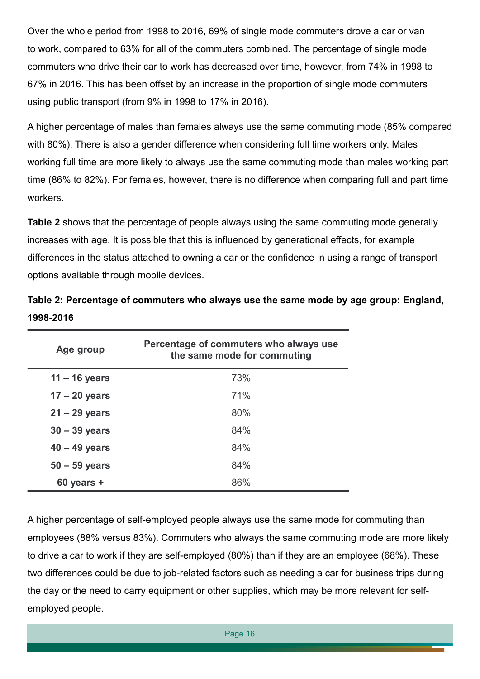Over the whole period from 1998 to 2016, 69% of single mode commuters drove a car or van to work, compared to 63% for all of the commuters combined. The percentage of single mode commuters who drive their car to work has decreased over time, however, from 74% in 1998 to 67% in 2016. This has been offset by an increase in the proportion of single mode commuters using public transport (from 9% in 1998 to 17% in 2016).

A higher percentage of males than females always use the same commuting mode (85% compared with 80%). There is also a gender difference when considering full time workers only. Males working full time are more likely to always use the same commuting mode than males working part time (86% to 82%). For females, however, there is no difference when comparing full and part time workers.

**Table 2** shows that the percentage of people always using the same commuting mode generally increases with age. It is possible that this is influenced by generational effects, for example differences in the status attached to owning a car or the confidence in using a range of transport options available through mobile devices.

| Age group       | Percentage of commuters who always use<br>the same mode for commuting |
|-----------------|-----------------------------------------------------------------------|
| $11 - 16$ years | 73%                                                                   |
| $17 - 20$ years | 71%                                                                   |
| $21 - 29$ years | 80%                                                                   |
| $30 - 39$ years | 84%                                                                   |
| $40 - 49$ years | 84%                                                                   |
| $50 - 59$ years | 84%                                                                   |
| $60$ years $+$  | 86%                                                                   |

**Table 2: Percentage of commuters who always use the same mode by age group: England, 1998-2016**

A higher percentage of self-employed people always use the same mode for commuting than employees (88% versus 83%). Commuters who always the same commuting mode are more likely to drive a car to work if they are self-employed (80%) than if they are an employee (68%). These two differences could be due to job-related factors such as needing a car for business trips during the day or the need to carry equipment or other supplies, which may be more relevant for selfemployed people.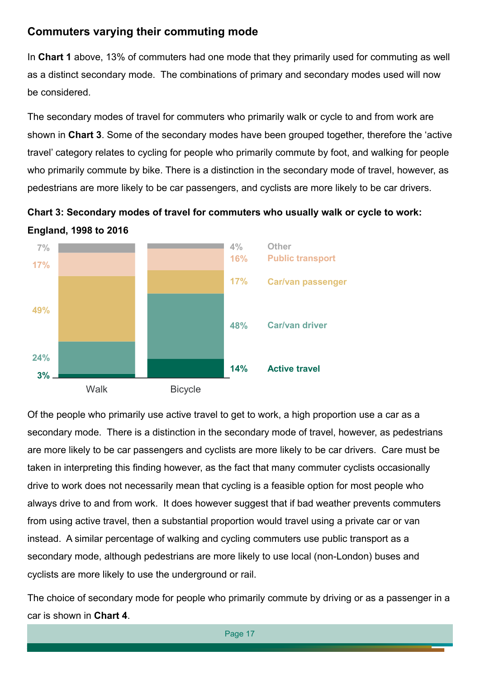## **Commuters varying their commuting mode**

In **Chart 1** above, 13% of commuters had one mode that they primarily used for commuting as well as a distinct secondary mode. The combinations of primary and secondary modes used will now be considered.

The secondary modes of travel for commuters who primarily walk or cycle to and from work are shown in **Chart 3**. Some of the secondary modes have been grouped together, therefore the 'active travel' category relates to cycling for people who primarily commute by foot, and walking for people who primarily commute by bike. There is a distinction in the secondary mode of travel, however, as pedestrians are more likely to be car passengers, and cyclists are more likely to be car drivers.





Of the people who primarily use active travel to get to work, a high proportion use a car as a secondary mode. There is a distinction in the secondary mode of travel, however, as pedestrians are more likely to be car passengers and cyclists are more likely to be car drivers. Care must be taken in interpreting this finding however, as the fact that many commuter cyclists occasionally drive to work does not necessarily mean that cycling is a feasible option for most people who always drive to and from work. It does however suggest that if bad weather prevents commuters from using active travel, then a substantial proportion would travel using a private car or van instead. A similar percentage of walking and cycling commuters use public transport as a secondary mode, although pedestrians are more likely to use local (non-London) buses and cyclists are more likely to use the underground or rail.

The choice of secondary mode for people who primarily commute by driving or as a passenger in a car is shown in **Chart 4**.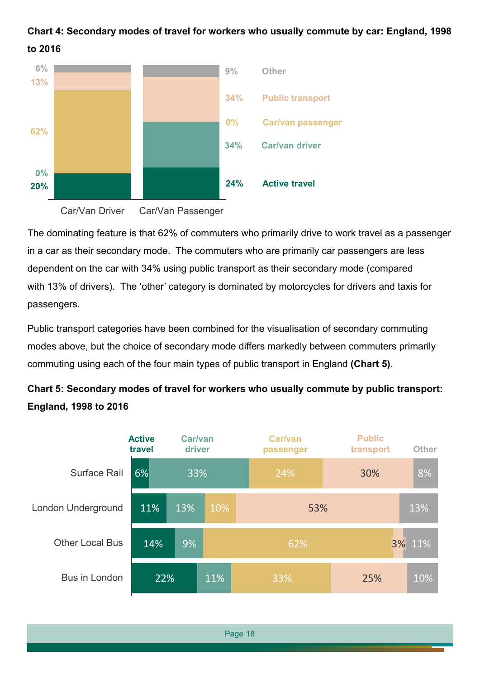## **Chart 4: Secondary modes of travel for workers who usually commute by car: England, 1998 to 2016**



The dominating feature is that 62% of commuters who primarily drive to work travel as a passenger in a car as their secondary mode. The commuters who are primarily car passengers are less dependent on the car with 34% using public transport as their secondary mode (compared with 13% of drivers). The 'other' category is dominated by motorcycles for drivers and taxis for passengers.

Public transport categories have been combined for the visualisation of secondary commuting modes above, but the choice of secondary mode differs markedly between commuters primarily commuting using each of the four main types of public transport in England **(Chart 5)**.

## **Chart 5: Secondary modes of travel for workers who usually commute by public transport: England, 1998 to 2016**

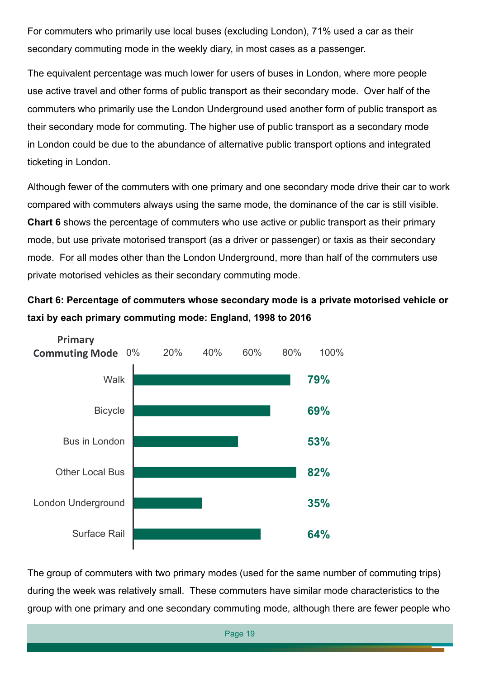For commuters who primarily use local buses (excluding London), 71% used a car as their secondary commuting mode in the weekly diary, in most cases as a passenger.

The equivalent percentage was much lower for users of buses in London, where more people use active travel and other forms of public transport as their secondary mode. Over half of the commuters who primarily use the London Underground used another form of public transport as their secondary mode for commuting. The higher use of public transport as a secondary mode in London could be due to the abundance of alternative public transport options and integrated ticketing in London.

Although fewer of the commuters with one primary and one secondary mode drive their car to work compared with commuters always using the same mode, the dominance of the car is still visible. **Chart 6** shows the percentage of commuters who use active or public transport as their primary mode, but use private motorised transport (as a driver or passenger) or taxis as their secondary mode. For all modes other than the London Underground, more than half of the commuters use private motorised vehicles as their secondary commuting mode.

**Chart 6: Percentage of commuters whose secondary mode is a private motorised vehicle or taxi by each primary commuting mode: England, 1998 to 2016**



The group of commuters with two primary modes (used for the same number of commuting trips) during the week was relatively small. These commuters have similar mode characteristics to the group with one primary and one secondary commuting mode, although there are fewer people who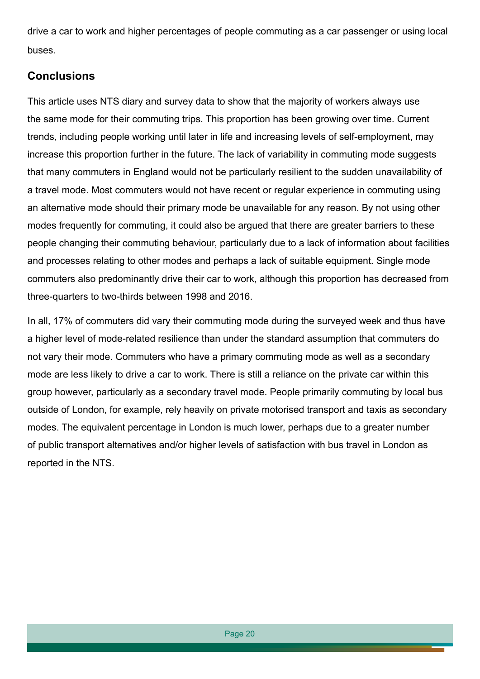drive a car to work and higher percentages of people commuting as a car passenger or using local buses.

#### **Conclusions**

This article uses NTS diary and survey data to show that the majority of workers always use the same mode for their commuting trips. This proportion has been growing over time. Current trends, including people working until later in life and increasing levels of self-employment, may increase this proportion further in the future. The lack of variability in commuting mode suggests that many commuters in England would not be particularly resilient to the sudden unavailability of a travel mode. Most commuters would not have recent or regular experience in commuting using an alternative mode should their primary mode be unavailable for any reason. By not using other modes frequently for commuting, it could also be argued that there are greater barriers to these people changing their commuting behaviour, particularly due to a lack of information about facilities and processes relating to other modes and perhaps a lack of suitable equipment. Single mode commuters also predominantly drive their car to work, although this proportion has decreased from three-quarters to two-thirds between 1998 and 2016.

In all, 17% of commuters did vary their commuting mode during the surveyed week and thus have a higher level of mode-related resilience than under the standard assumption that commuters do not vary their mode. Commuters who have a primary commuting mode as well as a secondary mode are less likely to drive a car to work. There is still a reliance on the private car within this group however, particularly as a secondary travel mode. People primarily commuting by local bus outside of London, for example, rely heavily on private motorised transport and taxis as secondary modes. The equivalent percentage in London is much lower, perhaps due to a greater number of public transport alternatives and/or higher levels of satisfaction with bus travel in London as reported in the NTS.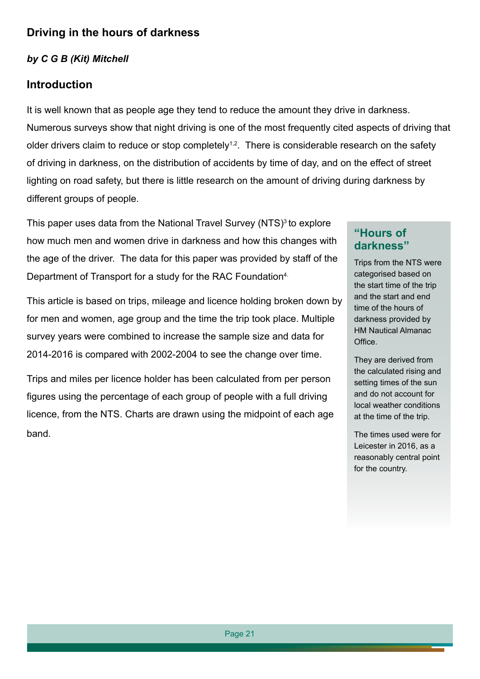## **Driving in the hours of darkness**

#### *by C G B (Kit) Mitchell*

#### **Introduction**

It is well known that as people age they tend to reduce the amount they drive in darkness. Numerous surveys show that night driving is one of the most frequently cited aspects of driving that older drivers claim to reduce or stop completely<sup>1,2</sup>. There is considerable research on the safety of driving in darkness, on the distribution of accidents by time of day, and on the effect of street lighting on road safety, but there is little research on the amount of driving during darkness by different groups of people.

This paper uses data from the National Travel Survey (NTS)<sup>3</sup> to explore how much men and women drive in darkness and how this changes with the age of the driver. The data for this paper was provided by staff of the Department of Transport for a study for the RAC Foundation<sup>4.</sup>

This article is based on trips, mileage and licence holding broken down by for men and women, age group and the time the trip took place. Multiple survey years were combined to increase the sample size and data for 2014-2016 is compared with 2002-2004 to see the change over time.

Trips and miles per licence holder has been calculated from per person figures using the percentage of each group of people with a full driving licence, from the NTS. Charts are drawn using the midpoint of each age band.

#### **"Hours of darkness"**

Trips from the NTS were categorised based on the start time of the trip and the start and end time of the hours of darkness provided by HM Nautical Almanac Office.

They are derived from the calculated rising and setting times of the sun and do not account for local weather conditions at the time of the trip.

The times used were for Leicester in 2016, as a reasonably central point for the country.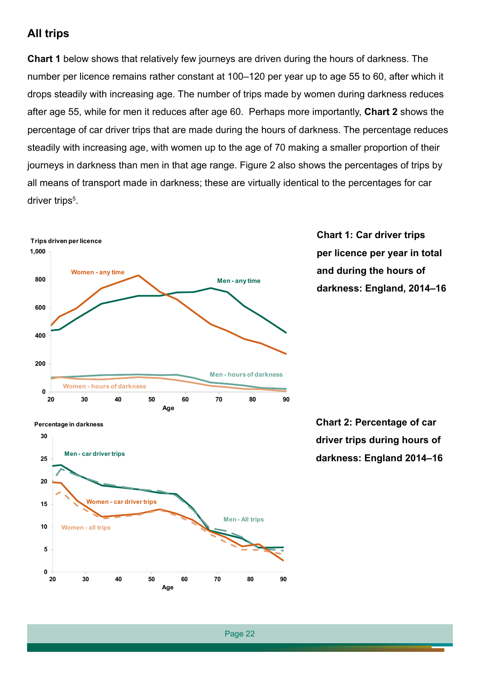#### **All trips**

**Chart 1** below shows that relatively few journeys are driven during the hours of darkness. The number per licence remains rather constant at 100–120 per year up to age 55 to 60, after which it drops steadily with increasing age. The number of trips made by women during darkness reduces after age 55, while for men it reduces after age 60. Perhaps more importantly, **Chart 2** shows the percentage of car driver trips that are made during the hours of darkness. The percentage reduces steadily with increasing age, with women up to the age of 70 making a smaller proportion of their journeys in darkness than men in that age range. Figure 2 also shows the percentages of trips by all means of transport made in darkness; these are virtually identical to the percentages for car driver trips<sup>5</sup>.



**Chart 1: Car driver trips per licence per year in total and during the hours of darkness: England, 2014–16**



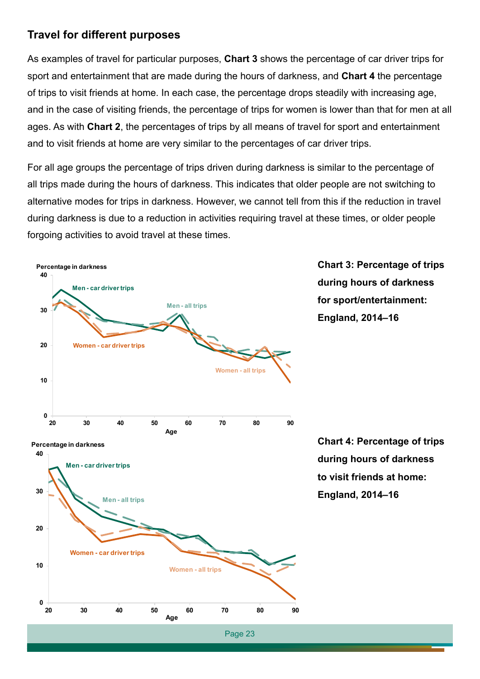#### **Travel for different purposes**

As examples of travel for particular purposes, **Chart 3** shows the percentage of car driver trips for sport and entertainment that are made during the hours of darkness, and **Chart 4** the percentage of trips to visit friends at home. In each case, the percentage drops steadily with increasing age, and in the case of visiting friends, the percentage of trips for women is lower than that for men at all ages. As with **Chart 2**, the percentages of trips by all means of travel for sport and entertainment and to visit friends at home are very similar to the percentages of car driver trips.

For all age groups the percentage of trips driven during darkness is similar to the percentage of all trips made during the hours of darkness. This indicates that older people are not switching to alternative modes for trips in darkness. However, we cannot tell from this if the reduction in travel during darkness is due to a reduction in activities requiring travel at these times, or older people forgoing activities to avoid travel at these times.

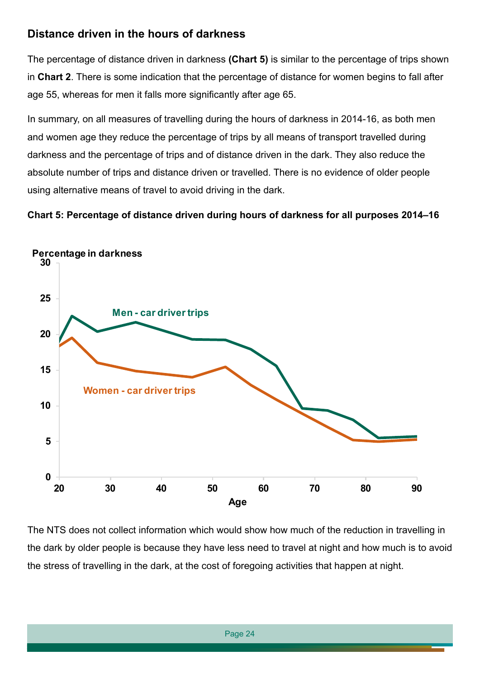## **Distance driven in the hours of darkness**

The percentage of distance driven in darkness **(Chart 5)** is similar to the percentage of trips shown in **Chart 2**. There is some indication that the percentage of distance for women begins to fall after age 55, whereas for men it falls more significantly after age 65.

In summary, on all measures of travelling during the hours of darkness in 2014-16, as both men and women age they reduce the percentage of trips by all means of transport travelled during darkness and the percentage of trips and of distance driven in the dark. They also reduce the absolute number of trips and distance driven or travelled. There is no evidence of older people using alternative means of travel to avoid driving in the dark.

#### **Chart 5: Percentage of distance driven during hours of darkness for all purposes 2014–16**



The NTS does not collect information which would show how much of the reduction in travelling in the dark by older people is because they have less need to travel at night and how much is to avoid the stress of travelling in the dark, at the cost of foregoing activities that happen at night.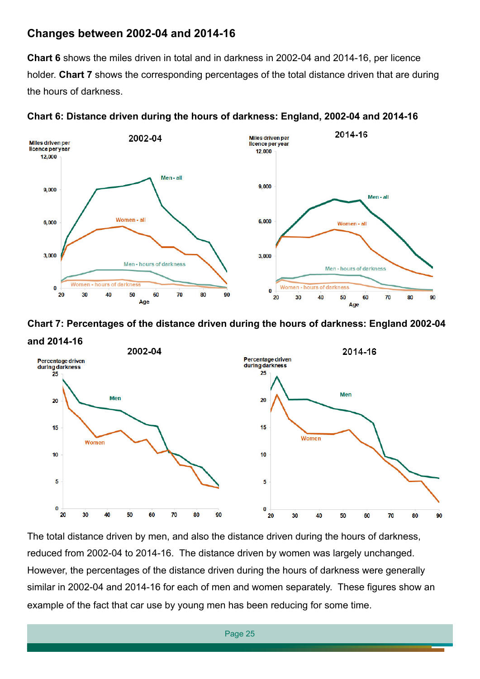#### **Changes between 2002-04 and 2014-16**

**Chart 6** shows the miles driven in total and in darkness in 2002-04 and 2014-16, per licence holder. **Chart 7** shows the corresponding percentages of the total distance driven that are during the hours of darkness.



**Chart 6: Distance driven during the hours of darkness: England, 2002-04 and 2014-16**





The total distance driven by men, and also the distance driven during the hours of darkness, reduced from 2002-04 to 2014-16. The distance driven by women was largely unchanged. However, the percentages of the distance driven during the hours of darkness were generally similar in 2002-04 and 2014-16 for each of men and women separately. These figures show an example of the fact that car use by young men has been reducing for some time.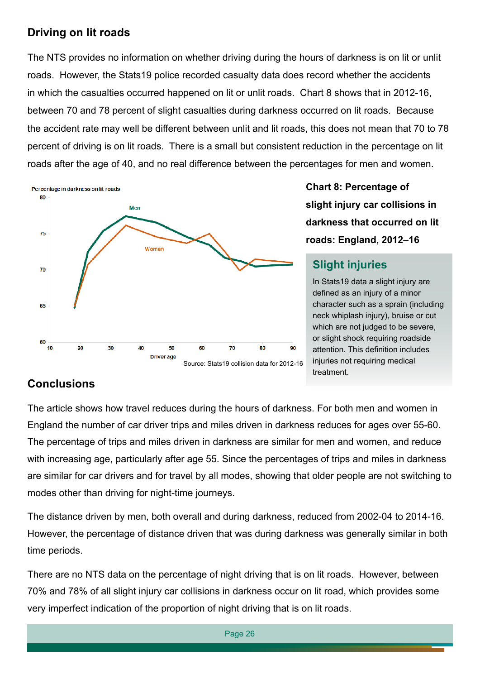## **Driving on lit roads**

The NTS provides no information on whether driving during the hours of darkness is on lit or unlit roads. However, the Stats19 police recorded casualty data does record whether the accidents in which the casualties occurred happened on lit or unlit roads. Chart 8 shows that in 2012-16, between 70 and 78 percent of slight casualties during darkness occurred on lit roads. Because the accident rate may well be different between unlit and lit roads, this does not mean that 70 to 78 percent of driving is on lit roads. There is a small but consistent reduction in the percentage on lit roads after the age of 40, and no real difference between the percentages for men and women.



**Chart 8: Percentage of slight injury car collisions in darkness that occurred on lit roads: England, 2012–16**

## **Slight injuries**

In Stats19 data a slight injury are defined as an injury of a minor character such as a sprain (including neck whiplash injury), bruise or cut which are not judged to be severe, or slight shock requiring roadside attention. This definition includes injuries not requiring medical treatment.

## **Conclusions**

The article shows how travel reduces during the hours of darkness. For both men and women in England the number of car driver trips and miles driven in darkness reduces for ages over 55-60. The percentage of trips and miles driven in darkness are similar for men and women, and reduce with increasing age, particularly after age 55. Since the percentages of trips and miles in darkness are similar for car drivers and for travel by all modes, showing that older people are not switching to modes other than driving for night-time journeys.

The distance driven by men, both overall and during darkness, reduced from 2002-04 to 2014-16. However, the percentage of distance driven that was during darkness was generally similar in both time periods.

There are no NTS data on the percentage of night driving that is on lit roads. However, between 70% and 78% of all slight injury car collisions in darkness occur on lit road, which provides some very imperfect indication of the proportion of night driving that is on lit roads.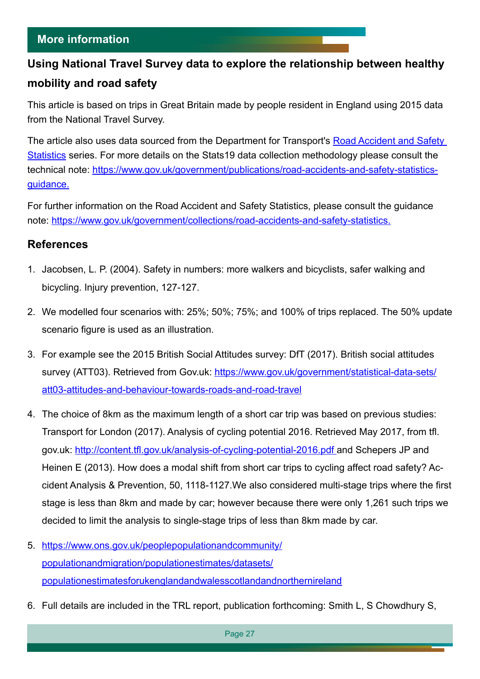#### **More information**

# **Using National Travel Survey data to explore the relationship between healthy mobility and road safety**

This article is based on trips in Great Britain made by people resident in England using 2015 data from the National Travel Survey.

The article also uses data sourced from the Department for Transport's [Road Accident and Safety](https://www.gov.uk/government/collections/road-accidents-and-safety-statistics)  [Statistics](https://www.gov.uk/government/collections/road-accidents-and-safety-statistics) series. For more details on the Stats19 data collection methodology please consult the technical note: [https://www.gov.uk/government/publications/road-accidents-and-safety-statistics](https://www.gov.uk/government/publications/road-accidents-and-safety-statistics-guidance)[guidance.](https://www.gov.uk/government/publications/road-accidents-and-safety-statistics-guidance)

For further information on the Road Accident and Safety Statistics, please consult the guidance note:<https://www.gov.uk/government/collections/road-accidents-and-safety-statistics>.

#### **References**

- 1. Jacobsen, L. P. (2004). Safety in numbers: more walkers and bicyclists, safer walking and bicycling. Injury prevention, 127-127.
- 2. We modelled four scenarios with: 25%; 50%; 75%; and 100% of trips replaced. The 50% update scenario figure is used as an illustration.
- 3. For example see the 2015 British Social Attitudes survey: DfT (2017). British social attitudes survey (ATT03). Retrieved from Gov.uk: [https://www.gov.uk/government/statistical-data-sets/](https://www.gov.uk/government/statistical-data-sets/att03-attitudes-and-behaviour-towards-roads-and-road-travel) [att03-attitudes-and-behaviour-towards-roads-and-road-travel](https://www.gov.uk/government/statistical-data-sets/att03-attitudes-and-behaviour-towards-roads-and-road-travel)
- 4. The choice of 8km as the maximum length of a short car trip was based on previous studies: Transport for London (2017). Analysis of cycling potential 2016. Retrieved May 2017, from tfl. gov.uk: [http://content.tfl.gov.uk/analysis-of-cycling-potential-2016.pdf](http://content.tfl.gov.uk/analysis-of-cycling-potential-2016.pdf ) and Schepers JP and Heinen E (2013). How does a modal shift from short car trips to cycling affect road safety? Accident Analysis & Prevention, 50, 1118-1127.We also considered multi-stage trips where the first stage is less than 8km and made by car; however because there were only 1,261 such trips we decided to limit the analysis to single-stage trips of less than 8km made by car.
- 5. [https://www.ons.gov.uk/peoplepopulationandcommunity/](https://www.ons.gov.uk/peoplepopulationandcommunity/populationandmigration/populationestimates/datasets/populationestimatesforukenglandandwalesscotlandandnorthernireland) [populationandmigration/populationestimates/datasets/](https://www.ons.gov.uk/peoplepopulationandcommunity/populationandmigration/populationestimates/datasets/populationestimatesforukenglandandwalesscotlandandnorthernireland) [populationestimatesforukenglandandwalesscotlandandnorthernireland](https://www.ons.gov.uk/peoplepopulationandcommunity/populationandmigration/populationestimates/datasets/populationestimatesforukenglandandwalesscotlandandnorthernireland)
- 6. Full details are included in the TRL report, publication forthcoming: Smith L, S Chowdhury S,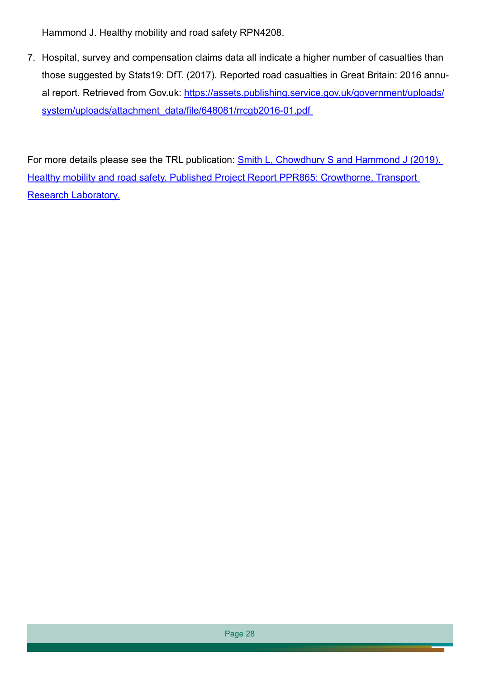Hammond J. Healthy mobility and road safety RPN4208.

7. Hospital, survey and compensation claims data all indicate a higher number of casualties than those suggested by Stats19: DfT. (2017). Reported road casualties in Great Britain: 2016 annual report. Retrieved from Gov.uk: [https://assets.publishing.service.gov.uk/government/uploads/](https://assets.publishing.service.gov.uk/government/uploads/system/uploads/attachment_data/file/648081/rrcgb2016-01.pdf ) system/uploads/attachment\_data/file/648081/rrcgb2016-01.pdf

For more details please see the TRL publication: Smith L, Chowdhury S and Hammond J (2019). [Healthy mobility and road safety. Published Project Report PPR865: Crowthorne, Transport](https://trl.co.uk/reports/healthy-mobility-and-road-safety)  [Research Laboratory.](https://trl.co.uk/reports/healthy-mobility-and-road-safety)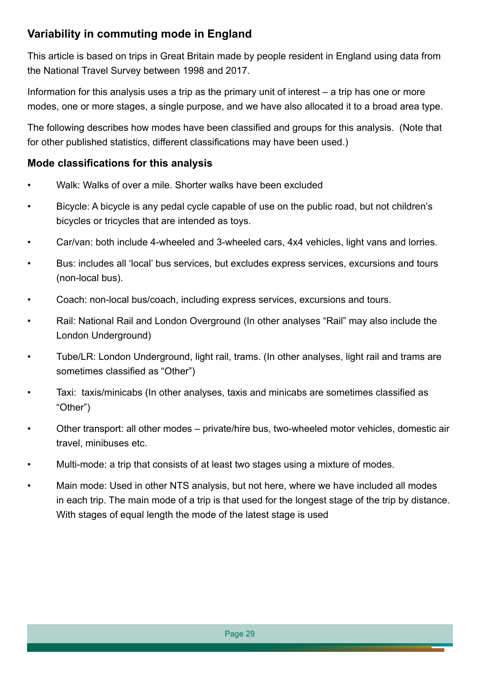## **Variability in commuting mode in England**

This article is based on trips in Great Britain made by people resident in England using data from the National Travel Survey between 1998 and 2017.

Information for this analysis uses a trip as the primary unit of interest – a trip has one or more modes, one or more stages, a single purpose, and we have also allocated it to a broad area type.

The following describes how modes have been classified and groups for this analysis. (Note that for other published statistics, different classifications may have been used.)

#### **Mode classifications for this analysis**

- Walk: Walks of over a mile. Shorter walks have been excluded
- Bicycle: A bicycle is any pedal cycle capable of use on the public road, but not children's bicycles or tricycles that are intended as toys.
- Car/van: both include 4-wheeled and 3-wheeled cars, 4x4 vehicles, light vans and lorries.
- Bus: includes all 'local' bus services, but excludes express services, excursions and tours (non-local bus).
- Coach: non-local bus/coach, including express services, excursions and tours.
- Rail: National Rail and London Overground (In other analyses "Rail" may also include the London Underground)
- Tube/LR: London Underground, light rail, trams. (In other analyses, light rail and trams are sometimes classified as "Other")
- Taxi: taxis/minicabs (In other analyses, taxis and minicabs are sometimes classified as "Other")
- Other transport: all other modes private/hire bus, two-wheeled motor vehicles, domestic air travel, minibuses etc.
- Multi-mode: a trip that consists of at least two stages using a mixture of modes.
- Main mode: Used in other NTS analysis, but not here, where we have included all modes in each trip. The main mode of a trip is that used for the longest stage of the trip by distance. With stages of equal length the mode of the latest stage is used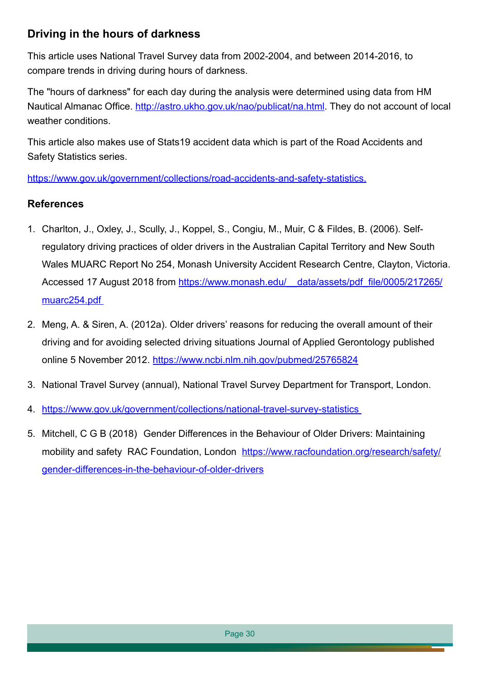## **Driving in the hours of darkness**

This article uses National Travel Survey data from 2002-2004, and between 2014-2016, to compare trends in driving during hours of darkness.

The "hours of darkness" for each day during the analysis were determined using data from HM Nautical Almanac Office. [http://astro.ukho.gov.uk/nao/publicat/na.html.]( http://astro.ukho.gov.uk/nao/publicat/na.html) They do not account of local weather conditions.

This article also makes use of Stats19 accident data which is part of the Road Accidents and Safety Statistics series.

<https://www.gov.uk/government/collections/road-accidents-and-safety-statistics>.

#### **References**

- 1. Charlton, J., Oxley, J., Scully, J., Koppel, S., Congiu, M., Muir, C & Fildes, B. (2006). Selfregulatory driving practices of older drivers in the Australian Capital Territory and New South Wales MUARC Report No 254, Monash University Accident Research Centre, Clayton, Victoria. Accessed 17 August 2018 from https://www.monash.edu/ data/assets/pdf\_file/0005/217265/ [muarc254.pdf](https://www.monash.edu/__data/assets/pdf_file/0005/217265/muarc254.pdf )
- 2. Meng, A. & Siren, A. (2012a). Older drivers' reasons for reducing the overall amount of their driving and for avoiding selected driving situations Journal of Applied Gerontology published online 5 November 2012.<https://www.ncbi.nlm.nih.gov/pubmed/25765824>
- 3. National Travel Survey (annual), National Travel Survey Department for Transport, London.
- 4. [https://www.gov.uk/government/collections/national-travel-survey-statistics](https://www.gov.uk/government/collections/national-travel-survey-statistics )
- 5. Mitchell, C G B (2018) Gender Differences in the Behaviour of Older Drivers: Maintaining mobility and safety RAC Foundation, London [https://www.racfoundation.org/research/safety/](https://www.racfoundation.org/research/safety/gender-differences-in-the-behaviour-of-older-drivers) [gender-differences-in-the-behaviour-of-older-drivers](https://www.racfoundation.org/research/safety/gender-differences-in-the-behaviour-of-older-drivers)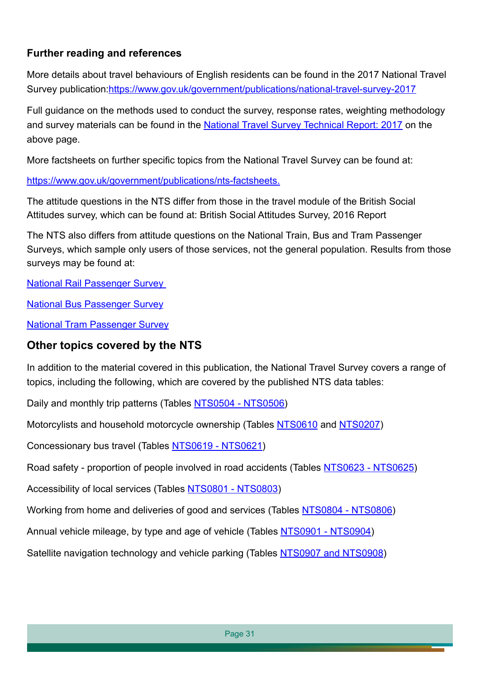### **Further reading and references**

More details about travel behaviours of English residents can be found in the 2017 National Travel Survey publication:[https://www.gov.uk/government/publications/national-travel-survey-201](https://www.gov.uk/government/publications/national-travel-survey-2017)7

Full guidance on the methods used to conduct the survey, response rates, weighting methodology and survey materials can be found in the [National Travel Survey Technical Report: 2017](https://www.gov.uk/government/statistics/national-travel-survey-2017) on the above page.

More factsheets on further specific topics from the National Travel Survey can be found at:

https://www.gov.uk/government/publications/nts-factsheets.

The attitude questions in the NTS differ from those in the travel module of the British Social Attitudes survey, which can be found at: British Social Attitudes Survey, 2016 Report

The NTS also differs from attitude questions on the National Train, Bus and Tram Passenger Surveys, which sample only users of those services, not the general population. Results from those surveys may be found at:

National Rail Passenger Survey

National Bus Passenger Survey

National Tram Passenger Survey

#### **Other topics covered by the NTS**

In addition to the material covered in this publication, the National Travel Survey covers a range of topics, including the following, which are covered by the published NTS data tables:

Daily and monthly trip patterns (Tables [NTS0504 - NTS0506\)](https://www.gov.uk/government/statistical-data-sets/nts05-trips)

Motorcylists and household motorcycle ownership (Tables [NTS0610](https://www.gov.uk/government/statistical-data-sets/nts06-age-gender-and-modal-breakdown) and [NTS0207\)](https://www.gov.uk/government/statistical-data-sets/nts02-driving-licence-holders)

Concessionary bus travel (Tables [NTS0619 - NTS0621\)](https://www.gov.uk/government/statistical-data-sets/nts06-age-gender-and-modal-breakdown)

Road safety - proportion of people involved in road accidents (Tables [NTS0623 - NTS0625\)](https://www.gov.uk/government/statistical-data-sets/nts06-age-gender-and-modal-breakdown)

Accessibility of local services (Tables [NTS0801 - NTS0803\)](https://www.gov.uk/government/statistical-data-sets/nts08-availability-and-distance-from-key-local-services)

Working from home and deliveries of good and services (Tables [NTS0804 - NTS0806\)](https://www.gov.uk/government/statistical-data-sets/nts08-availability-and-distance-from-key-local-services)

Annual vehicle mileage, by type and age of vehicle (Tables [NTS0901 - NTS0904](https://www.gov.uk/government/statistical-data-sets/nts09-vehicle-mileage-and-occupancy))

Satellite navigation technology and vehicle parking (Tables [NTS0907 and NTS0908\)](https://www.gov.uk/government/statistical-data-sets/nts09-vehicle-mileage-and-occupancy)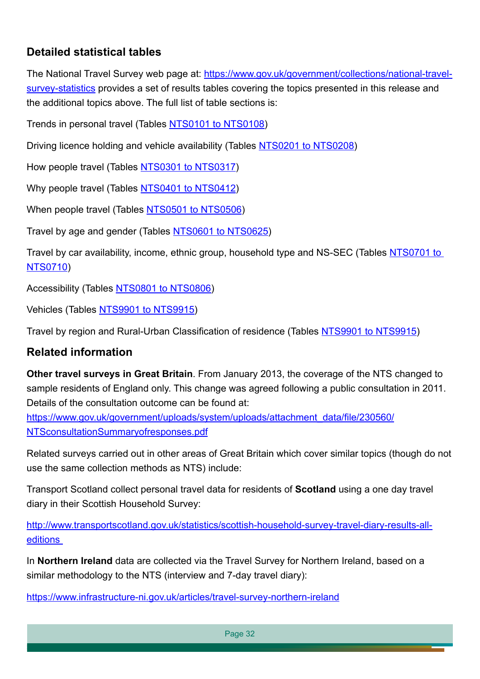## **Detailed statistical tables**

The National Travel Survey web page at: [https://www.gov.uk/government/collections/national-travel](https://www.gov.uk/government/collections/national-travel-survey-statistics)[survey-statistics](https://www.gov.uk/government/collections/national-travel-survey-statistics) provides a set of results tables covering the topics presented in this release and the additional topics above. The full list of table sections is:

Trends in personal travel (Tables [NTS0101 to NTS0108](https://www.gov.uk/government/statistical-data-sets/nts01-average-number-of-trips-made-and-distance-travelled))

Driving licence holding and vehicle availability (Tables [NTS0201 to NTS0208](https://www.gov.uk/government/statistical-data-sets/nts02-driving-licence-holders))

How people travel (Tables [NTS0301 to NTS0317\)](https://www.gov.uk/government/statistical-data-sets/nts03-modal-comparisons)

Why people travel (Tables [NTS0401 to NTS0412\)](https://www.gov.uk/government/statistical-data-sets/nts04-purpose-of-trips)

When people travel (Tables [NTS0501 to NTS0506\)](https://www.gov.uk/government/statistical-data-sets/nts05-trips)

Travel by age and gender (Tables [NTS0601 to NTS0625\)](https://www.gov.uk/government/statistical-data-sets/nts06-age-gender-and-modal-breakdown)

Travel by car availability, income, ethnic group, household type and NS-SEC (Tables [NTS0701 to](https://www.gov.uk/government/statistical-data-sets/nts07-car-ownership-and-access)  [NTS0710\)](https://www.gov.uk/government/statistical-data-sets/nts07-car-ownership-and-access)

Accessibility (Tables [NTS0801 to NTS0806\)](https://www.gov.uk/government/statistical-data-sets/nts08-availability-and-distance-from-key-local-services)

Vehicles (Tables [NTS9901 to NTS9915](https://www.gov.uk/government/statistical-data-sets/nts99-travel-by-region-and-area-type-of-residence))

Travel by region and Rural-Urban Classification of residence (Tables [NTS9901 to NTS9915\)](https://www.gov.uk/government/statistical-data-sets/nts99-travel-by-region-and-area-type-of-residence)

#### **Related information**

**Other travel surveys in Great Britain**. From January 2013, the coverage of the NTS changed to sample residents of England only. This change was agreed following a public consultation in 2011. Details of the consultation outcome can be found at:

[https://www.gov.uk/government/uploads/system/uploads/attachment\\_data/file/230560/](https://www.gov.uk/government/uploads/system/uploads/attachment_data/file/230560/NTSconsultationSummaryofresponses.pdf) [NTSconsultationSummaryofresponses.pdf](https://www.gov.uk/government/uploads/system/uploads/attachment_data/file/230560/NTSconsultationSummaryofresponses.pdf)

Related surveys carried out in other areas of Great Britain which cover similar topics (though do not use the same collection methods as NTS) include:

Transport Scotland collect personal travel data for residents of **Scotland** using a one day travel diary in their Scottish Household Survey:

[http://www.transportscotland.gov.uk/statistics/scottish-household-survey-travel-diary-results-all](http://www.transportscotland.gov.uk/statistics/scottish-household-survey-travel-diary-results-all-editions)[editions](http://www.transportscotland.gov.uk/statistics/scottish-household-survey-travel-diary-results-all-editions) 

In **Northern Ireland** data are collected via the Travel Survey for Northern Ireland, based on a similar methodology to the NTS (interview and 7-day travel diary):

<https://www.infrastructure-ni.gov.uk/articles/travel-survey-northern-ireland>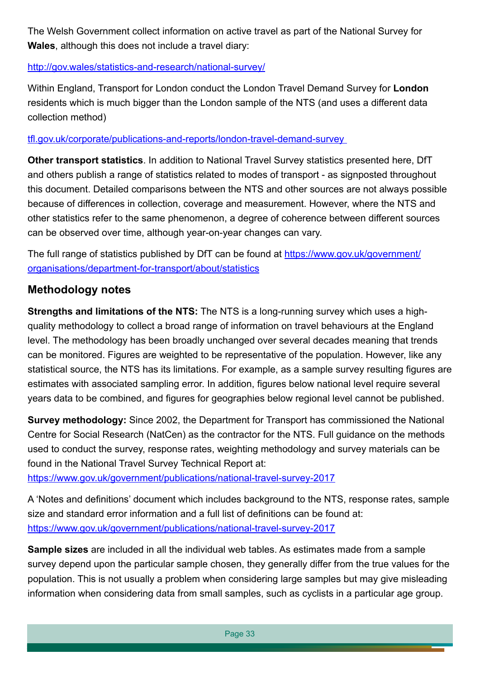The Welsh Government collect information on active travel as part of the National Survey for **Wales**, although this does not include a travel diary:

<http://gov.wales/statistics-and-research/national-survey/>

Within England, Transport for London conduct the London Travel Demand Survey for **London**  residents which is much bigger than the London sample of the NTS (and uses a different data collection method)

[tfl.gov.uk/corporate/publications-and-reports/london-travel-demand-survey](http://tfl.gov.uk/corporate/publications-and-reports/london-travel-demand-survey) 

**Other transport statistics**. In addition to National Travel Survey statistics presented here, DfT and others publish a range of statistics related to modes of transport - as signposted throughout this document. Detailed comparisons between the NTS and other sources are not always possible because of differences in collection, coverage and measurement. However, where the NTS and other statistics refer to the same phenomenon, a degree of coherence between different sources can be observed over time, although year-on-year changes can vary.

The full range of statistics published by DfT can be found at [https://www.gov.uk/government/](https://www.gov.uk/government/organisations/department-for-transport/about/statistics) [organisations/department-for-transport/about/statistics](https://www.gov.uk/government/organisations/department-for-transport/about/statistics)

#### **Methodology notes**

**Strengths and limitations of the NTS:** The NTS is a long-running survey which uses a highquality methodology to collect a broad range of information on travel behaviours at the England level. The methodology has been broadly unchanged over several decades meaning that trends can be monitored. Figures are weighted to be representative of the population. However, like any statistical source, the NTS has its limitations. For example, as a sample survey resulting figures are estimates with associated sampling error. In addition, figures below national level require several years data to be combined, and figures for geographies below regional level cannot be published.

**Survey methodology:** Since 2002, the Department for Transport has commissioned the National Centre for Social Research (NatCen) as the contractor for the NTS. Full guidance on the methods used to conduct the survey, response rates, weighting methodology and survey materials can be found in the National Travel Survey Technical Report at:

<https://www.gov.uk/government/publications/national-travel-survey-2017>

A 'Notes and definitions' document which includes background to the NTS, response rates, sample size and standard error information and a full list of definitions can be found at: <https://www.gov.uk/government/publications/national-travel-survey-2017>

**Sample sizes** are included in all the individual web tables. As estimates made from a sample survey depend upon the particular sample chosen, they generally differ from the true values for the population. This is not usually a problem when considering large samples but may give misleading information when considering data from small samples, such as cyclists in a particular age group.